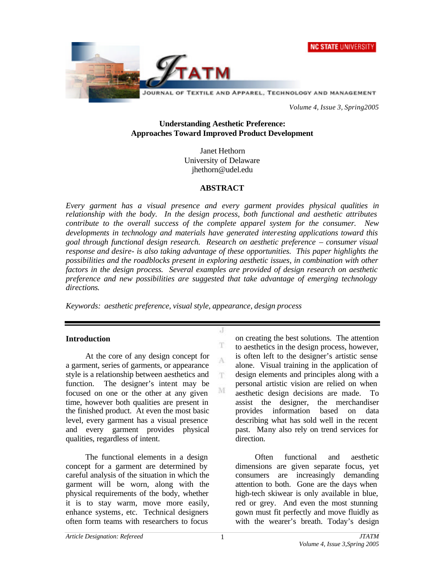



*Volume 4, Issue 3, Spring2005*

## **Understanding Aesthetic Preference: Approaches Toward Improved Product Development**

Janet Hethorn University of Delaware jhethorn@udel.edu

### **ABSTRACT**

*Every garment has a visual presence and every garment provides physical qualities in relationship with the body. In the design process, both functional and aesthetic attributes contribute to the overall success of the complete apparel system for the consumer. New developments in technology and materials have generated interesting applications toward this goal through functional design research. Research on aesthetic preference – consumer visual response and desire- is also taking advantage of these opportunities. This paper highlights the possibilities and the roadblocks present in exploring aesthetic issues, in combination with other factors in the design process. Several examples are provided of design research on aesthetic preference and new possibilities are suggested that take advantage of emerging technology directions.*

Л

T A

T.

M

*Keywords: aesthetic preference, visual style, appearance, design process*

## **Introduction**

At the core of any design concept for a garment, series of garments, or appearance style is a relationship between aesthetics and function. The designer's intent may be focused on one or the other at any given time, however both qualities are present in the finished product. At even the most basic level, every garment has a visual presence and every garment provides physical qualities, regardless of intent.

The functional elements in a design concept for a garment are determined by careful analysis of the situation in which the garment will be worn, along with the physical requirements of the body, whether it is to stay warm, move more easily, enhance systems, etc. Technical designers often form teams with researchers to focus

on creating the best solutions. The attention to aesthetics in the design process, however, is often left to the designer's artistic sense alone. Visual training in the application of design elements and principles along with a personal artistic vision are relied on when aesthetic design decisions are made. To assist the designer, the merchandiser provides information based on data describing what has sold well in the recent past. Many also rely on trend services for direction.

Often functional and aesthetic dimensions are given separate focus, yet consumers are increasingly demanding attention to both. Gone are the days when high-tech skiwear is only available in blue, red or grey. And even the most stunning gown must fit perfectly and move fluidly as with the wearer's breath. Today's design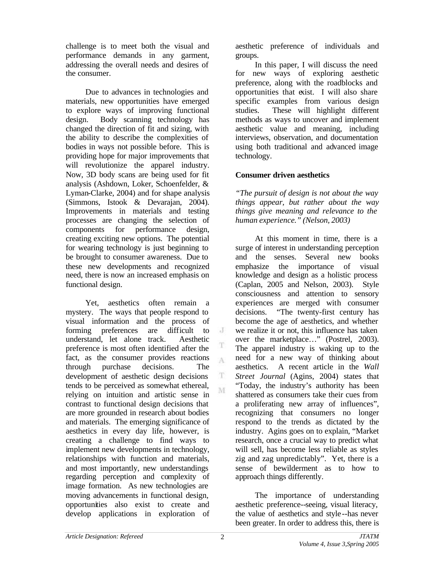challenge is to meet both the visual and performance demands in any garment, addressing the overall needs and desires of the consumer.

Due to advances in technologies and materials, new opportunities have emerged to explore ways of improving functional design. Body scanning technology has changed the direction of fit and sizing, with the ability to describe the complexities of bodies in ways not possible before. This is providing hope for major improvements that will revolutionize the apparel industry. Now, 3D body scans are being used for fit analysis (Ashdown, Loker, Schoenfelder, & Lyman-Clarke, 2004) and for shape analysis (Simmons, Istook & Devarajan, 2004). Improvements in materials and testing processes are changing the selection of components for performance design, creating exciting new options. The potential for wearing technology is just beginning to be brought to consumer awareness. Due to these new developments and recognized need, there is now an increased emphasis on functional design.

Yet, aesthetics often remain a mystery. The ways that people respond to visual information and the process of forming preferences are difficult to understand, let alone track. Aesthetic preference is most often identified after the fact, as the consumer provides reactions  $\Lambda$ through purchase decisions. The development of aesthetic design decisions tends to be perceived as somewhat ethereal, relying on intuition and artistic sense in contrast to functional design decisions that are more grounded in research about bodies and materials. The emerging significance of aesthetics in every day life, however, is creating a challenge to find ways to implement new developments in technology, relationships with function and materials, and most importantly, new understandings regarding perception and complexity of image formation. As new technologies are moving advancements in functional design, opportunities also exist to create and develop applications in exploration of

aesthetic preference of individuals and groups.

In this paper, I will discuss the need for new ways of exploring aesthetic preference, along with the roadblocks and opportunities that exist. I will also share specific examples from various design studies. These will highlight different methods as ways to uncover and implement aesthetic value and meaning, including interviews, observation, and documentation using both traditional and advanced image technology.

# **Consumer driven aesthetics**

*"The pursuit of design is not about the way things appear, but rather about the way things give meaning and relevance to the human experience." (Nelson, 2003)*

At this moment in time, there is a surge of interest in understanding perception and the senses. Several new books emphasize the importance of visual knowledge and design as a holistic process (Caplan, 2005 and Nelson, 2003). Style consciousness and attention to sensory experiences are merged with consumer decisions. "The twenty-first century has become the age of aesthetics, and whether we realize it or not, this influence has taken over the marketplace…" (Postrel, 2003). The apparel industry is waking up to the need for a new way of thinking about aesthetics. A recent article in the *Wall Street Journal* (Agins, 2004) states that "Today, the industry's authority has been shattered as consumers take their cues from a proliferating new array of influences", recognizing that consumers no longer respond to the trends as dictated by the industry. Agins goes on to explain, "Market research, once a crucial way to predict what will sell, has become less reliable as styles zig and zag unpredictably". Yet, there is a sense of bewilderment as to how to approach things differently.

The importance of understanding aesthetic preference--seeing, visual literacy, the value of aesthetics and style --has never been greater. In order to address this, there is

 $\mathcal{J}$ 

T

T M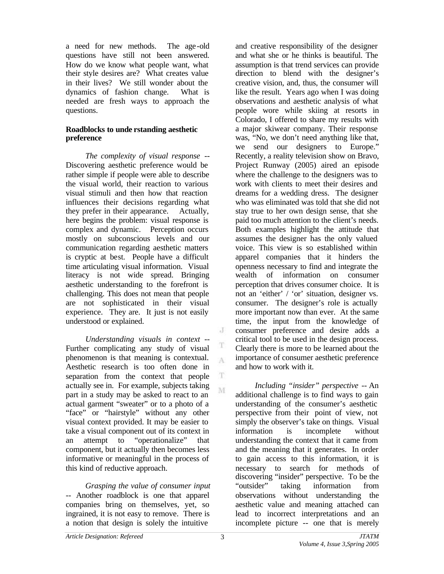a need for new methods. The age -old questions have still not been answered. How do we know what people want, what their style desires are? What creates value in their lives? We still wonder about the dynamics of fashion change. What is needed are fresh ways to approach the questions.

## **Roadblocks to unde rstanding aesthetic preference**

*The complexity of visual response* -- Discovering aesthetic preference would be rather simple if people were able to describe the visual world, their reaction to various visual stimuli and then how that reaction influences their decisions regarding what they prefer in their appearance. Actually, here begins the problem: visual response is complex and dynamic. Perception occurs mostly on subconscious levels and our communication regarding aesthetic matters is cryptic at best. People have a difficult time articulating visual information. Visual literacy is not wide spread. Bringing aesthetic understanding to the forefront is challenging. This does not mean that people are not sophisticated in their visual experience. They are. It just is not easily understood or explained.

*Understanding visuals in context* -- Further complicating any study of visual phenomenon is that meaning is contextual. Aesthetic research is too often done in separation from the context that people actually see in. For example, subjects taking part in a study may be asked to react to an actual garment "sweater" or to a photo of a "face" or "hairstyle" without any other visual context provided. It may be easier to take a visual component out of its context in an attempt to "operationalize" that component, but it actually then becomes less informative or meaningful in the process of this kind of reductive approach.

*Grasping the value of consumer input* -- Another roadblock is one that apparel companies bring on themselves, yet, so ingrained, it is not easy to remove. There is a notion that design is solely the intuitive

and creative responsibility of the designer and what she or he thinks is beautiful. The assumption is that trend services can provide direction to blend with the designer's creative vision, and, thus, the consumer will like the result. Years ago when I was doing observations and aesthetic analysis of what people wore while skiing at resorts in Colorado, I offered to share my results with a major skiwear company. Their response was, "No, we don't need anything like that, we send our designers to Europe." Recently, a reality television show on Bravo, Project Runway (2005) aired an episode where the challenge to the designers was to work with clients to meet their desires and dreams for a wedding dress. The designer who was eliminated was told that she did not stay true to her own design sense, that she paid too much attention to the client's needs. Both examples highlight the attitude that assumes the designer has the only valued voice. This view is so established within apparel companies that it hinders the openness necessary to find and integrate the wealth of information on consumer perception that drives consumer choice. It is not an 'either' / 'or' situation, designer vs. consumer. The designer's role is actually more important now than ever. At the same time, the input from the knowledge of consumer preference and desire adds a critical tool to be used in the design process. Clearly there is more to be learned about the importance of consumer aesthetic preference and how to work with it.

*Including "insider" perspective* -- An additional challenge is to find ways to gain understanding of the consumer's aesthetic perspective from their point of view, not simply the observer's take on things. Visual information is incomplete without understanding the context that it came from and the meaning that it generates. In order to gain access to this information, it is necessary to search for methods of discovering "insider" perspective. To be the "outsider" taking information from observations without understanding the aesthetic value and meaning attached can lead to incorrect interpretations and an incomplete picture -- one that is merely

 $\mathcal{J}$ 

T A

T M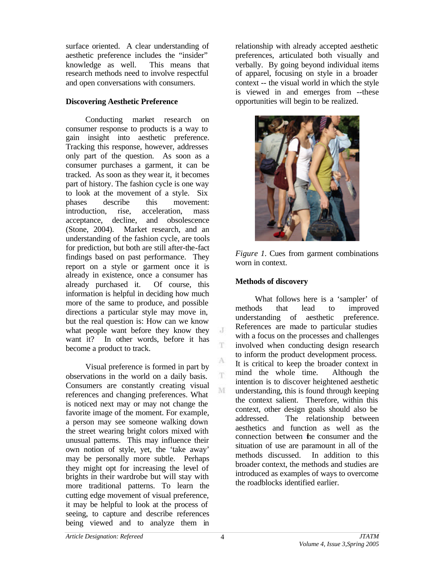surface oriented. A clear understanding of aesthetic preference includes the "insider" knowledge as well. This means that research methods need to involve respectful and open conversations with consumers.

## **Discovering Aesthetic Preference**

Conducting market research on consumer response to products is a way to gain insight into aesthetic preference. Tracking this response, however, addresses only part of the question. As soon as a consumer purchases a garment, it can be tracked. As soon as they wear it, it becomes part of history. The fashion cycle is one way to look at the movement of a style. Six phases describe this movement: introduction, rise, acceleration, mass acceptance, decline, and obsolescence (Stone, 2004). Market research, and an understanding of the fashion cycle, are tools for prediction, but both are still after-the-fact findings based on past performance. They report on a style or garment once it is already in existence, once a consumer has already purchased it. Of course, this information is helpful in deciding how much more of the same to produce, and possible directions a particular style may move in, but the real question is: How can we know what people want before they know they want it? In other words, before it has become a product to track.

Visual preference is formed in part by observations in the world on a daily basis. Consumers are constantly creating visual references and changing preferences. What is noticed next may or may not change the favorite image of the moment. For example, a person may see someone walking down the street wearing bright colors mixed with unusual patterns. This may influence their own notion of style, yet, the 'take away' may be personally more subtle. Perhaps they might opt for increasing the level of brights in their wardrobe but will stay with more traditional patterns. To learn the cutting edge movement of visual preference, it may be helpful to look at the process of seeing, to capture and describe references being viewed and to analyze them in

relationship with already accepted aesthetic preferences, articulated both visually and verbally. By going beyond individual items of apparel, focusing on style in a broader context -- the visual world in which the style is viewed in and emerges from --these opportunities will begin to be realized.



*Figure 1.* Cues from garment combinations worn in context.

## **Methods of discovery**

What follows here is a 'sampler' of methods that lead to improved understanding of aesthetic preference. References are made to particular studies with a focus on the processes and challenges involved when conducting design research to inform the product development process. It is critical to keep the broader context in mind the whole time. Although the intention is to discover heightened aesthetic understanding, this is found through keeping the context salient. Therefore, within this context, other design goals should also be addressed. The relationship between aesthetics and function as well as the connection between the consumer and the situation of use are paramount in all of the methods discussed. In addition to this broader context, the methods and studies are introduced as examples of ways to overcome the roadblocks identified earlier.

 $\cdot$ 

T.

A T.

M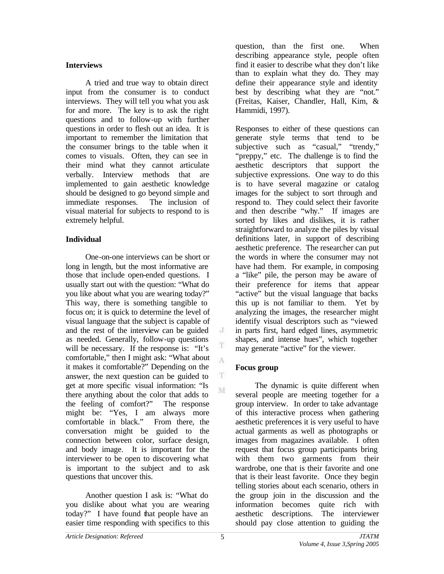## **Interviews**

A tried and true way to obtain direct input from the consumer is to conduct interviews. They will tell you what you ask for and more. The key is to ask the right questions and to follow-up with further questions in order to flesh out an idea. It is important to remember the limitation that the consumer brings to the table when it comes to visuals. Often, they can see in their mind what they cannot articulate verbally. Interview methods that are implemented to gain aesthetic knowledge should be designed to go beyond simple and immediate responses. The inclusion of visual material for subjects to respond to is extremely helpful.

# **Individual**

One-on-one interviews can be short or long in length, but the most informative are those that include open-ended questions. I usually start out with the question: "What do you like about what you are wearing today?" This way, there is something tangible to focus on; it is quick to determine the level of visual language that the subject is capable of and the rest of the interview can be guided as needed. Generally, follow-up questions will be necessary. If the response is: "It's comfortable," then I might ask: "What about it makes it comfortable?" Depending on the answer, the next question can be guided to get at more specific visual information: "Is there anything about the color that adds to the feeling of comfort?" The response might be: "Yes, I am always more comfortable in black." From there, the conversation might be guided to the connection between color, surface design, and body image. It is important for the interviewer to be open to discovering what is important to the subject and to ask questions that uncover this.

Another question I ask is: "What do you dislike about what you are wearing today?" I have found that people have an easier time responding with specifics to this question, than the first one. When describing appearance style, people often find it easier to describe what they don't like than to explain what they do. They may define their appearance style and identity best by describing what they are "not." (Freitas, Kaiser, Chandler, Hall, Kim, & Hammidi, 1997).

Responses to either of these questions can generate style terms that tend to be subjective such as "casual," "trendy," "preppy," etc. The challenge is to find the aesthetic descriptors that support the subjective expressions. One way to do this is to have several magazine or catalog images for the subject to sort through and respond to. They could select their favorite and then describe "why." If images are sorted by likes and dislikes, it is rather straightforward to analyze the piles by visual definitions later, in support of describing aesthetic preference. The researcher can put the words in where the consumer may not have had them. For example, in composing a "like" pile, the person may be aware of their preference for items that appear "active" but the visual language that backs this up is not familiar to them. Yet by analyzing the images, the researcher might identify visual descriptors such as "viewed in parts first, hard edged lines, asymmetric shapes, and intense hues", which together may generate "active" for the viewer.

# **Focus group**

The dynamic is quite different when several people are meeting together for a group interview. In order to take advantage of this interactive process when gathering aesthetic preferences it is very useful to have actual garments as well as photographs or images from magazines available. I often request that focus group participants bring with them two garments from their wardrobe, one that is their favorite and one that is their least favorite. Once they begin telling stories about each scenario, others in the group join in the discussion and the information becomes quite rich with aesthetic descriptions. The interviewer should pay close attention to guiding the

J

T A

T M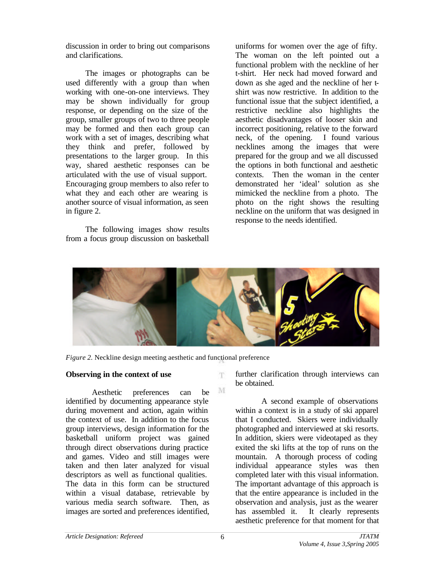discussion in order to bring out comparisons and clarifications.

The images or photographs can be used differently with a group than when working with one-on-one interviews. They may be shown individually for group response, or depending on the size of the group, smaller groups of two to three people may be formed and then each group can work with a set of images, describing what they think and prefer, followed by presentations to the larger group. In this way, shared aesthetic responses can be articulated with the use of visual support. Encouraging group members to also refer to what they and each other are wearing is another source of visual information, as seen in figure 2.

The following images show results from a focus group discussion on basketball uniforms for women over the age of fifty. The woman on the left pointed out a functional problem with the neckline of her t-shirt. Her neck had moved forward and down as she aged and the neckline of her tshirt was now restrictive. In addition to the functional issue that the subject identified, a restrictive neckline also highlights the aesthetic disadvantages of looser skin and incorrect positioning, relative to the forward neck, of the opening. I found various necklines among the images that were prepared for the group and we all discussed the options in both functional and aesthetic contexts. Then the woman in the center demonstrated her 'ideal' solution as she mimicked the neckline from a photo. The photo on the right shows the resulting neckline on the uniform that was designed in response to the needs identified.



m.

M

*Figure 2.* Neckline design meeting aesthetic and functional preference

## **Observing in the context of use**

Aesthetic preferences can be identified by documenting appearance style during movement and action, again within the context of use. In addition to the focus group interviews, design information for the basketball uniform project was gained through direct observations during practice and games. Video and still images were taken and then later analyzed for visual descriptors as well as functional qualities. The data in this form can be structured within a visual database, retrievable by various media search software. Then, as images are sorted and preferences identified, further clarification through interviews can be obtained.

A second example of observations within a context is in a study of ski apparel that I conducted. Skiers were individually photographed and interviewed at ski resorts. In addition, skiers were videotaped as they exited the ski lifts at the top of runs on the mountain. A thorough process of coding individual appearance styles was then completed later with this visual information. The important advantage of this approach is that the entire appearance is included in the observation and analysis, just as the wearer has assembled it. It clearly represents aesthetic preference for that moment for that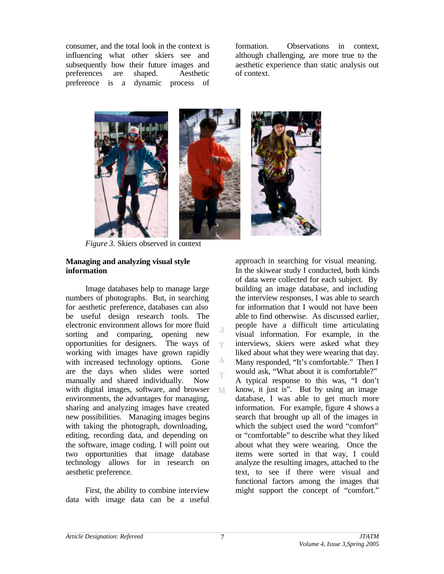consumer, and the total look in the context is influencing what other skiers see and subsequently how their future images and preferences are shaped. Aesthetic preference is a dynamic process of formation. Observations in context, although challenging, are more true to the aesthetic experience than static analysis out of context.



*Figure 3.* Skiers observed in context

### **Managing and analyzing visual style information**

Image databases help to manage large numbers of photographs. But, in searching for aesthetic preference, databases can also be useful design research tools. The electronic environment allows for more fluid sorting and comparing, opening new opportunities for designers. The ways of working with images have grown rapidly with increased technology options. Gone are the days when slides were sorted manually and shared individually. Now with digital images, software, and browser environments, the advantages for managing, sharing and analyzing images have created new possibilities. Managing images begins with taking the photograph, downloading, editing, recording data, and depending on the software, image coding. I will point out two opportunities that image database technology allows for in research on aesthetic preference.

First, the ability to combine interview data with image data can be a useful approach in searching for visual meaning. In the skiwear study I conducted, both kinds of data were collected for each subject. By building an image database, and including the interview responses, I was able to search for information that I would not have been able to find otherwise. As discussed earlier, people have a difficult time articulating visual information. For example, in the interviews, skiers were asked what they liked about what they were wearing that day. Many responded, "It's comfortable." Then I would ask, "What about it is comfortable?" A typical response to this was, "I don't know, it just is". But by using an image database, I was able to get much more information. For example, figure 4 shows a search that brought up all of the images in which the subject used the word "comfort" or "comfortable" to describe what they liked about what they were wearing. Once the items were sorted in that way, I could analyze the resulting images, attached to the text, to see if there were visual and functional factors among the images that might support the concept of "comfort."

 $_{\rm c}$  J m

A 'n

M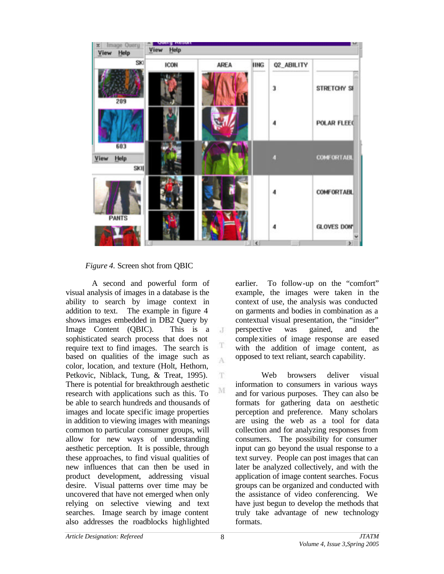

 $\cdot$ T

T A

T.

M

*Figure 4.* Screen shot from QBIC

A second and powerful form of visual analysis of images in a database is the ability to search by image context in addition to text. The example in figure 4 shows images embedded in DB2 Query by Image Content (QBIC). This is a sophisticated search process that does not require text to find images. The search is based on qualities of the image such as color, location, and texture (Holt, Hethorn, Petkovic, Niblack, Tung, & Treat, 1995). There is potential for breakthrough aesthetic research with applications such as this. To be able to search hundreds and thousands of images and locate specific image properties in addition to viewing images with meanings common to particular consumer groups, will allow for new ways of understanding aesthetic perception. It is possible, through these approaches, to find visual qualities of new influences that can then be used in product development, addressing visual desire. Visual patterns over time may be uncovered that have not emerged when only relying on selective viewing and text searches. Image search by image content also addresses the roadblocks highlighted

earlier. To follow-up on the "comfort" example, the images were taken in the context of use, the analysis was conducted on garments and bodies in combination as a contextual visual presentation, the "insider" perspective was gained, and the complexities of image response are eased with the addition of image content, as opposed to text reliant, search capability.

Web browsers deliver visual information to consumers in various ways and for various purposes. They can also be formats for gathering data on aesthetic perception and preference. Many scholars are using the web as a tool for data collection and for analyzing responses from consumers. The possibility for consumer input can go beyond the usual response to a text survey. People can post images that can later be analyzed collectively, and with the application of image content searches. Focus groups can be organized and conducted with the assistance of video conferencing. We have just begun to develop the methods that truly take advantage of new technology formats.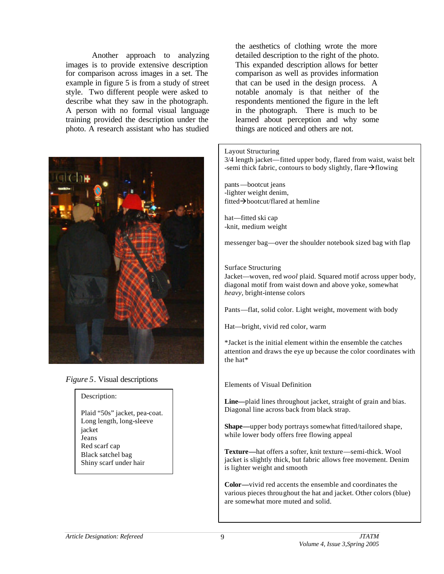Another approach to analyzing images is to provide extensive description for comparison across images in a set. The example in figure 5 is from a study of street style. Two different people were asked to describe what they saw in the photograph. A person with no formal visual language training provided the description under the photo. A research assistant who has studied



### *Figure 5*. Visual descriptions

#### Description:

Plaid "50s" jacket, pea-coat. Long length, long-sleeve jacket Jeans Red scarf cap Black satchel bag Shiny scarf under hair

the aesthetics of clothing wrote the more detailed description to the right of the photo. This expanded description allows for better comparison as well as provides information that can be used in the design process. A notable anomaly is that neither of the respondents mentioned the figure in the left in the photograph. There is much to be learned about perception and why some things are noticed and others are not.

#### Layout Structuring

3/4 length jacket—fitted upper body, flared from waist, waist belt -semi thick fabric, contours to body slightly, flare  $\rightarrow$  flowing

pants—bootcut jeans -lighter weight denim, fitted $\rightarrow$ bootcut/flared at hemline

hat—fitted ski cap -knit, medium weight

messenger bag—over the shoulder notebook sized bag with flap

#### Surface Structuring

Jacket—woven, red *wool* plaid. Squared motif across upper body, diagonal motif from waist down and above yoke, somewhat *heavy,* bright-intense colors

Pants—flat, solid color. Light weight, movement with body

Hat—bright, vivid red color, warm

\*Jacket is the initial element within the ensemble the catches attention and draws the eye up because the color coordinates with the hat\*

#### Elements of Visual Definition

**Line—**plaid lines throughout jacket, straight of grain and bias. Diagonal line across back from black strap.

**Shape—**upper body portrays somewhat fitted/tailored shape, while lower body offers free flowing appeal

**Texture—**hat offers a softer, knit texture—semi-thick. Wool jacket is slightly thick, but fabric allows free movement. Denim is lighter weight and smooth

**Color—**vivid red accents the ensemble and coordinates the various pieces throughout the hat and jacket. Other colors (blue) are somewhat more muted and solid.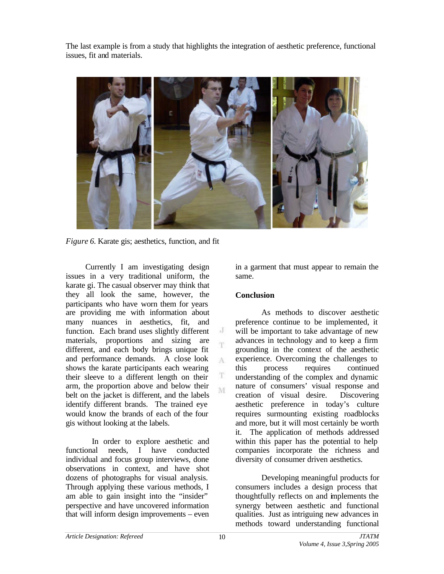The last example is from a study that highlights the integration of aesthetic preference, functional issues, fit and materials.



 $\cdot$  $\overline{\textbf{T}}$ 

 $\Lambda$ 

T M

*Figure 6.* Karate gis; aesthetics, function, and fit

Currently I am investigating design issues in a very traditional uniform, the karate gi. The casual observer may think that they all look the same, however, the participants who have worn them for years are providing me with information about many nuances in aesthetics, fit, and function. Each brand uses slightly different materials, proportions and sizing are different, and each body brings unique fit and performance demands. A close look shows the karate participants each wearing their sleeve to a different length on their arm, the proportion above and below their belt on the jacket is different, and the labels identify different brands. The trained eye would know the brands of each of the four gis without looking at the labels.

In order to explore aesthetic and functional needs, I have conducted individual and focus group interviews, done observations in context, and have shot dozens of photographs for visual analysis. Through applying these various methods, I am able to gain insight into the "insider" perspective and have uncovered information that will inform design improvements – even

in a garment that must appear to remain the same.

# **Conclusion**

As methods to discover aesthetic preference continue to be implemented, it will be important to take advantage of new advances in technology and to keep a firm grounding in the context of the aesthetic experience. Overcoming the challenges to this process requires continued understanding of the complex and dynamic nature of consumers' visual response and creation of visual desire. Discovering aesthetic preference in today's culture requires surmounting existing roadblocks and more, but it will most certainly be worth it. The application of methods addressed within this paper has the potential to help companies incorporate the richness and diversity of consumer driven aesthetics.

Developing meaningful products for consumers includes a design process that thoughtfully reflects on and implements the synergy between aesthetic and functional qualities. Just as intriguing new advances in methods toward understanding functional